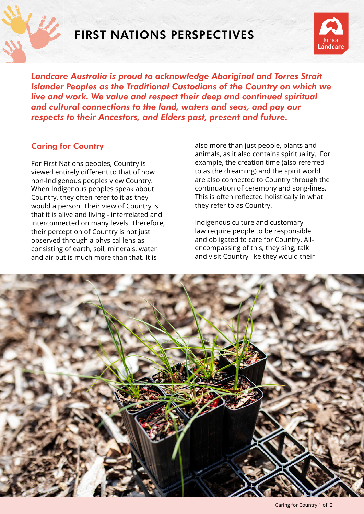

## FIRST NATIONS PERSPECTIVES



*Landcare Australia is proud to acknowledge Aboriginal and Torres Strait Islander Peoples as the Traditional Custodians of the Country on which we live and work. We value and respect their deep and continued spiritual and cultural connections to the land, waters and seas, and pay our respects to their Ancestors, and Elders past, present and future.*

## Caring for Country

For First Nations peoples, Country is viewed entirely different to that of how non-Indigenous peoples view Country. When Indigenous peoples speak about Country, they often refer to it as they would a person. Their view of Country is that it is alive and living - interrelated and interconnected on many levels. Therefore, their perception of Country is not just observed through a physical lens as consisting of earth, soil, minerals, water and air but is much more than that. It is

also more than just people, plants and animals, as it also contains spirituality. For example, the creation time (also referred to as the dreaming) and the spirit world are also connected to Country through the continuation of ceremony and song-lines. This is often reflected holistically in what they refer to as Country.

Indigenous culture and customary law require people to be responsible and obligated to care for Country. Allencompassing of this, they sing, talk and visit Country like they would their